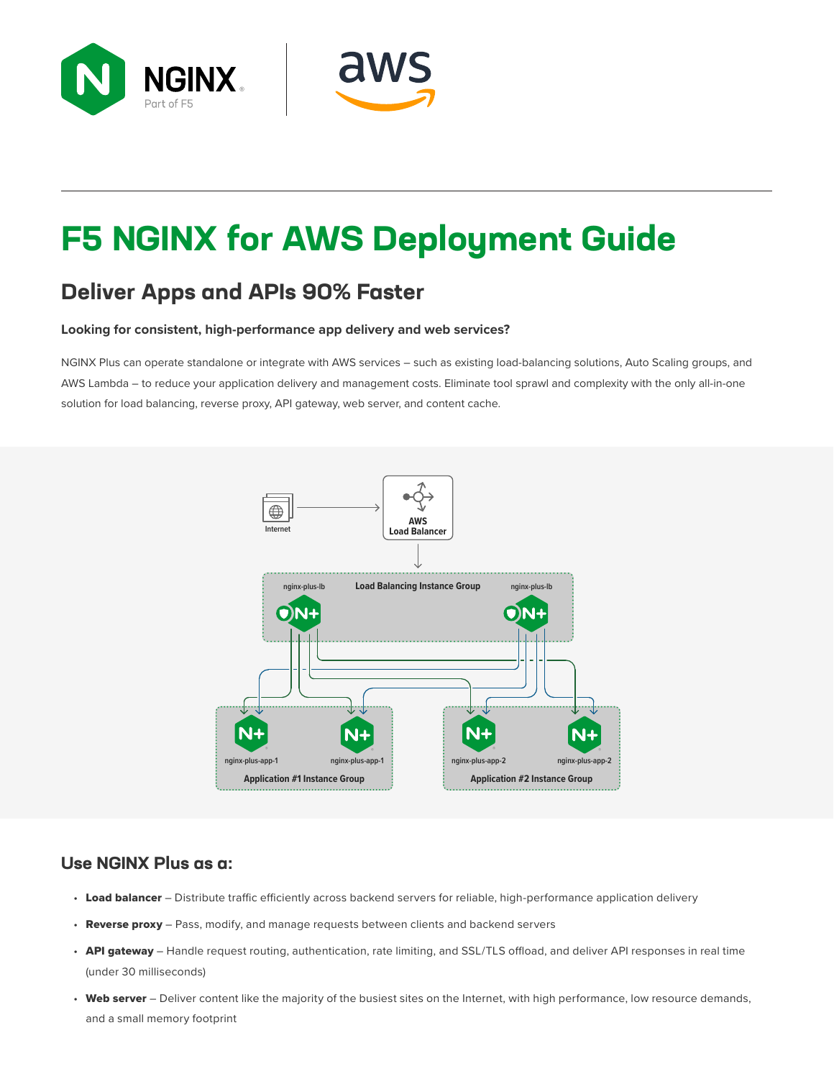



# **F5 NGINX for AWS Deployment Guide**

#### **Deliver Apps and APIs 90% Faster**

#### **Looking for consistent, high-performance app delivery and web services?**

NGINX Plus can operate standalone or integrate with AWS services – such as existing load-balancing solutions, Auto Scaling groups, and AWS Lambda – to reduce your application delivery and management costs. Eliminate tool sprawl and complexity with the only all-in-one solution for load balancing, reverse proxy, API gateway, web server, and content cache.



#### **Use NGINX Plus as a:**

- Load balancer Distribute traffic efficiently across backend servers for reliable, high-performance application delivery
- Reverse proxy Pass, modify, and manage requests between clients and backend servers
- API gateway Handle request routing, authentication, rate limiting, and SSL/TLS offload, and deliver API responses in real time (under 30 milliseconds)
- Web server Deliver content like the majority of the busiest sites on the Internet, with high performance, low resource demands, and a small memory footprint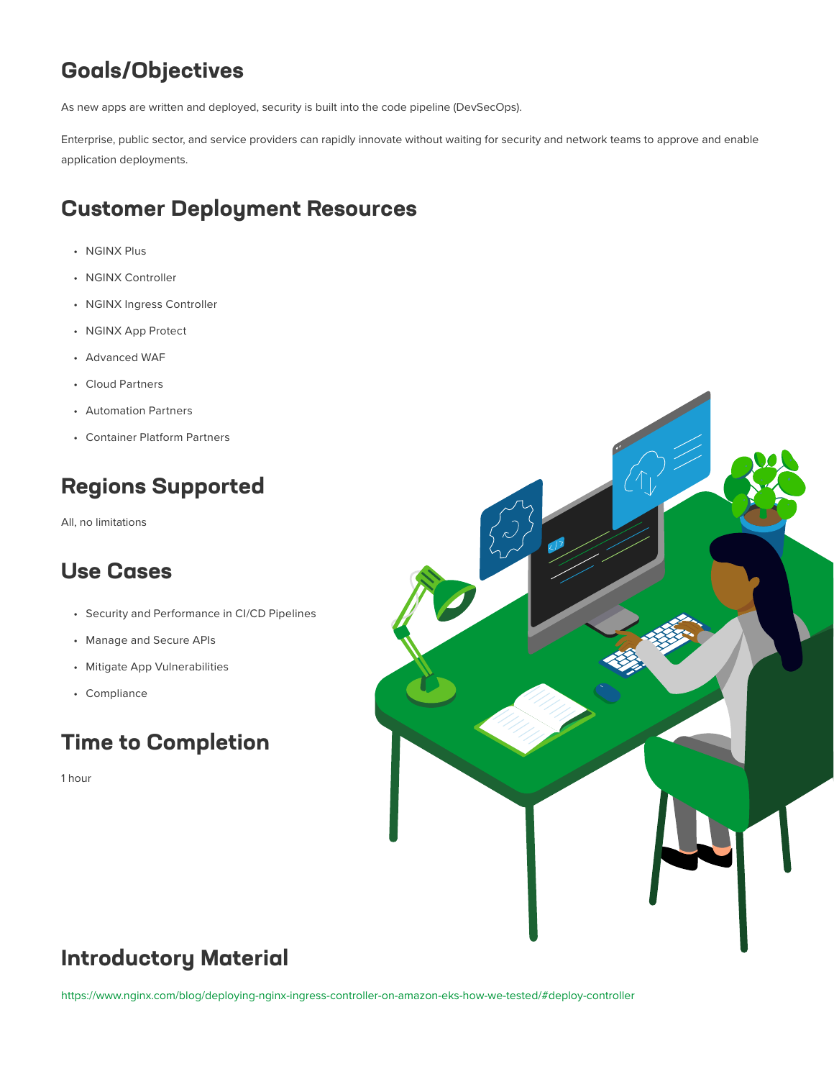## **Goals/Objectives**

As new apps are written and deployed, security is built into the code pipeline (DevSecOps).

Enterprise, public sector, and service providers can rapidly innovate without waiting for security and network teams to approve and enable application deployments.

#### **Customer Deployment Resources**

- NGINX Plus
- NGINX Controller
- NGINX Ingress Controller
- NGINX App Protect
- Advanced WAF
- Cloud Partners
- Automation Partners
- Container Platform Partners

#### **Regions Supported**

All, no limitations

#### **Use Cases**

- Security and Performance in CI/CD Pipelines
- Manage and Secure APIs
- Mitigate App Vulnerabilities
- Compliance

#### **Time to Completion**

1 hour



#### **Introductory Material**

<https://www.nginx.com/blog/deploying-nginx-ingress-controller-on-amazon-eks-how-we-tested/#deploy-controller>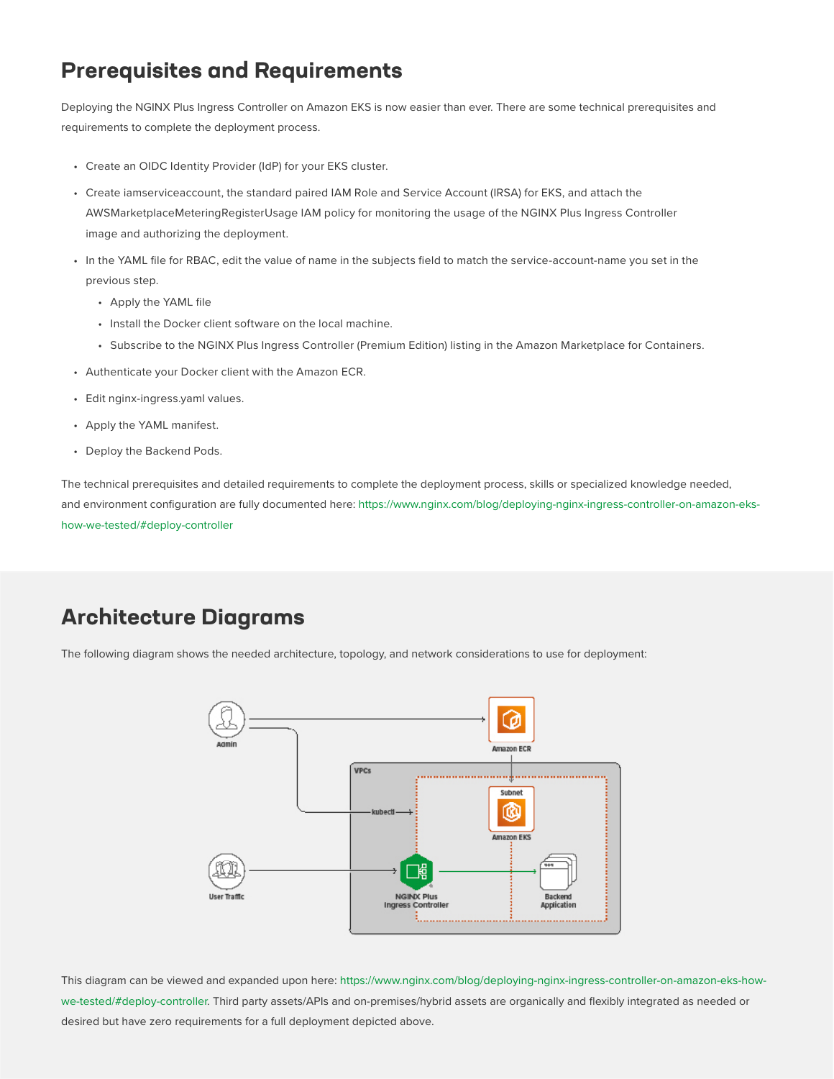#### **Prerequisites and Requirements**

Deploying the NGINX Plus Ingress Controller on Amazon EKS is now easier than ever. There are some technical prerequisites and requirements to complete the deployment process.

- Create an OIDC Identity Provider (IdP) for your EKS cluster.
- Create iamserviceaccount, the standard paired IAM Role and Service Account (IRSA) for EKS, and attach the AWSMarketplaceMeteringRegisterUsage IAM policy for monitoring the usage of the NGINX Plus Ingress Controller image and authorizing the deployment.
- In the YAML file for RBAC, edit the value of name in the subjects field to match the service-account-name you set in the previous step.
	- Apply the YAML file
	- Install the Docker client software on the local machine.
	- Subscribe to the NGINX Plus Ingress Controller (Premium Edition) listing in the Amazon Marketplace for Containers.
- Authenticate your Docker client with the Amazon ECR.
- Edit nginx-ingress.yaml values.
- Apply the YAML manifest.
- Deploy the Backend Pods.

The technical prerequisites and detailed requirements to complete the deployment process, skills or specialized knowledge needed, and environment configuration are fully documented here: [https://www.nginx.com/blog/deploying-nginx-ingress-controller-on-amazon-eks](https://www.nginx.com/blog/deploying-nginx-ingress-controller-on-amazon-eks-how-we-tested/#deploy-controller)[how-we-tested/#deploy-controller](https://www.nginx.com/blog/deploying-nginx-ingress-controller-on-amazon-eks-how-we-tested/#deploy-controller)

#### **Architecture Diagrams**

The following diagram shows the needed architecture, topology, and network considerations to use for deployment:



This diagram can be viewed and expanded upon here: [https://www.nginx.com/blog/deploying-nginx-ingress-controller-on-amazon-eks-how](https://www.nginx.com/blog/deploying-nginx-ingress-controller-on-amazon-eks-how-we-tested/#deploy-controller)[we-tested/#deploy-controller](https://www.nginx.com/blog/deploying-nginx-ingress-controller-on-amazon-eks-how-we-tested/#deploy-controller). Third party assets/APIs and on-premises/hybrid assets are organically and flexibly integrated as needed or desired but have zero requirements for a full deployment depicted above.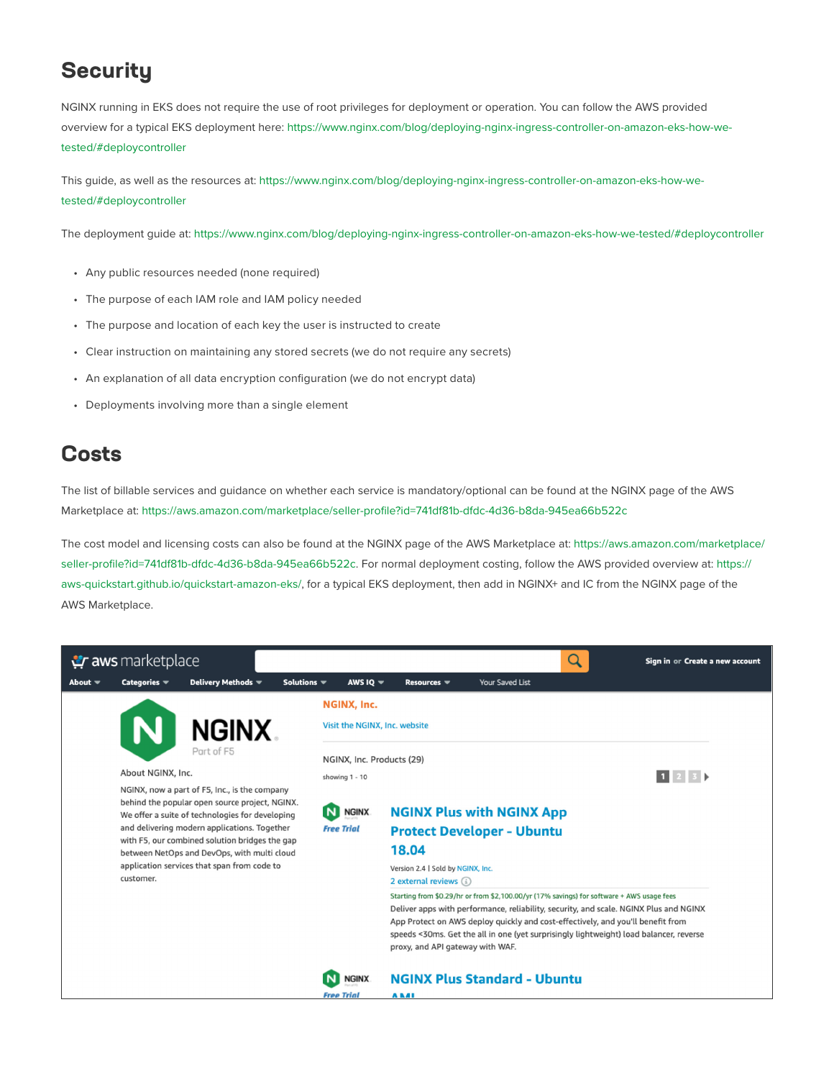### **Security**

NGINX running in EKS does not require the use of root privileges for deployment or operation. You can follow the AWS provided overview for a typical EKS deployment here: [https://www.nginx.com/blog/deploying-nginx-ingress-controller-on-amazon-eks-how-we](https://www.nginx.com/blog/deploying-nginx-ingress-controller-on-amazon-eks-how-we-tested/#deploycontroller)[tested/#deploycontroller](https://www.nginx.com/blog/deploying-nginx-ingress-controller-on-amazon-eks-how-we-tested/#deploycontroller)

This guide, as well as the resources at: [https://www.nginx.com/blog/deploying-nginx-ingress-controller-on-amazon-eks-how-we](https://www.nginx.com/blog/deploying-nginx-ingress-controller-on-amazon-eks-how-we-tested/#deploycontroller
)[tested/#deploycontroller](https://www.nginx.com/blog/deploying-nginx-ingress-controller-on-amazon-eks-how-we-tested/#deploycontroller
)

The deployment guide at: <https://www.nginx.com/blog/deploying-nginx-ingress-controller-on-amazon-eks-how-we-tested/#deploycontroller>

- Any public resources needed (none required)
- The purpose of each IAM role and IAM policy needed
- The purpose and location of each key the user is instructed to create
- Clear instruction on maintaining any stored secrets (we do not require any secrets)
- An explanation of all data encryption configuration (we do not encrypt data)
- Deployments involving more than a single element

#### **Costs**

The list of billable services and guidance on whether each service is mandatory/optional can be found at the NGINX page of the AWS Marketplace at:<https://aws.amazon.com/marketplace/seller-profile?id=741df81b-dfdc-4d36-b8da-945ea66b522c>

The cost model and licensing costs can also be found at the NGINX page of the AWS Marketplace at: [https://aws.amazon.com/marketplace/](https://aws.amazon.com/marketplace/seller-profile?id=741df81b-dfdc-4d36-b8da-945ea66b522c) [seller-profile?id=741df81b-dfdc-4d36-b8da-945ea66b522c](https://aws.amazon.com/marketplace/seller-profile?id=741df81b-dfdc-4d36-b8da-945ea66b522c). For normal deployment costing, follow the AWS provided overview at: [https://](https://aws-quickstart.github.io/quickstart-amazon-eks/) [aws-quickstart.github.io/quickstart-amazon-eks/](https://aws-quickstart.github.io/quickstart-amazon-eks/), for a typical EKS deployment, then add in NGINX+ and IC from the NGINX page of the AWS Marketplace.

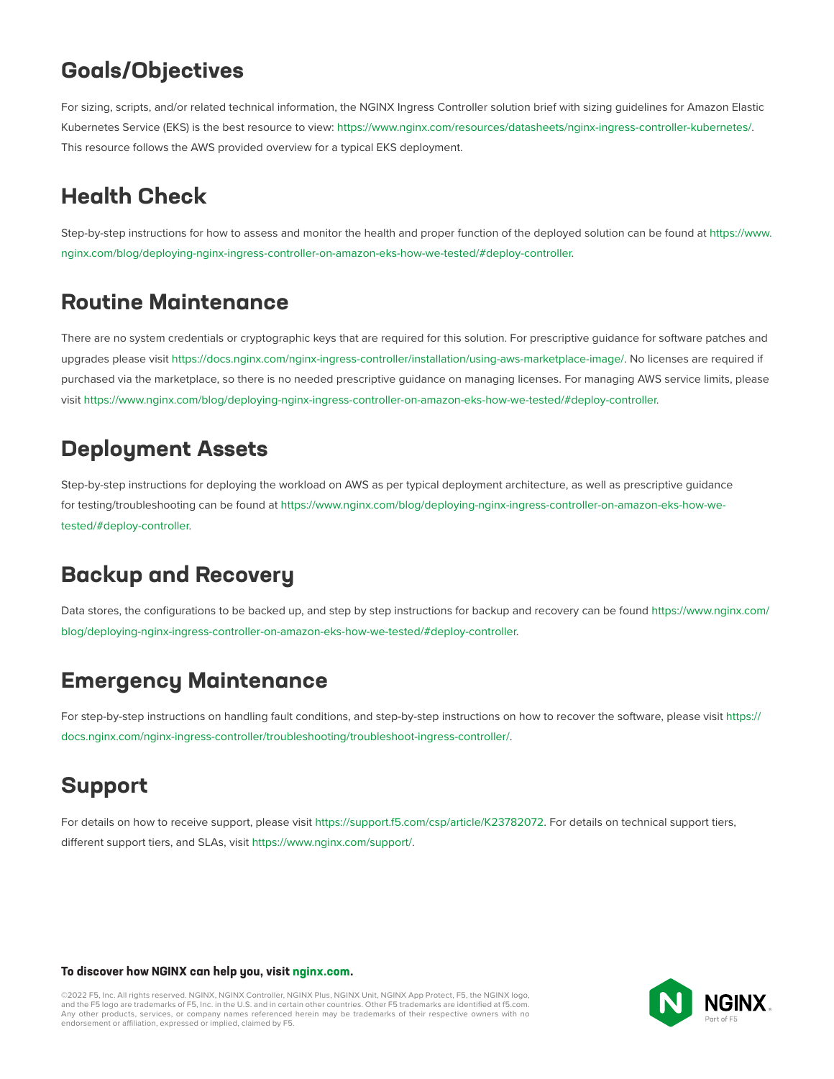#### **Goals/Objectives**

For sizing, scripts, and/or related technical information, the NGINX Ingress Controller solution brief with sizing guidelines for Amazon Elastic Kubernetes Service (EKS) is the best resource to view: [https://www.nginx.com/resources/datasheets/nginx-ingress-controller-kubernetes/.](https://www.nginx.com/resources/datasheets/nginx-ingress-controller-kubernetes/) This resource follows the AWS provided overview for a typical EKS deployment.

# **Health Check**

Step-by-step instructions for how to assess and monitor the health and proper function of the deployed solution can be found at [https://www.](https://www.nginx.com/blog/deploying-nginx-ingress-controller-on-amazon-eks-how-we-tested/#deploy-controller) [nginx.com/blog/deploying-nginx-ingress-controller-on-amazon-eks-how-we-tested/#deploy-controller.](https://www.nginx.com/blog/deploying-nginx-ingress-controller-on-amazon-eks-how-we-tested/#deploy-controller)

#### **Routine Maintenance**

There are no system credentials or cryptographic keys that are required for this solution. For prescriptive guidance for software patches and upgrades please visit<https://docs.nginx.com/nginx-ingress-controller/installation/using-aws-marketplace-image/>. No licenses are required if purchased via the marketplace, so there is no needed prescriptive guidance on managing licenses. For managing AWS service limits, please visit <https://www.nginx.com/blog/deploying-nginx-ingress-controller-on-amazon-eks-how-we-tested/#deploy-controller>.

#### **Deployment Assets**

Step-by-step instructions for deploying the workload on AWS as per typical deployment architecture, as well as prescriptive guidance for testing/troubleshooting can be found at [https://www.nginx.com/blog/deploying-nginx-ingress-controller-on-amazon-eks-how-we](https://www.nginx.com/blog/deploying-nginx-ingress-controller-on-amazon-eks-how-we-tested/#deploy-controller)[tested/#deploy-controller.](https://www.nginx.com/blog/deploying-nginx-ingress-controller-on-amazon-eks-how-we-tested/#deploy-controller)

## **Backup and Recovery**

Data stores, the configurations to be backed up, and step by step instructions for backup and recovery can be found [https://www.nginx.com/](https://www.nginx.com/blog/deploying-nginx-ingress-controller-on-amazon-eks-how-we-tested/#deploy-controller) [blog/deploying-nginx-ingress-controller-on-amazon-eks-how-we-tested/#deploy-controller.](https://www.nginx.com/blog/deploying-nginx-ingress-controller-on-amazon-eks-how-we-tested/#deploy-controller)

#### **Emergency Maintenance**

For step-by-step instructions on handling fault conditions, and step-by-step instructions on how to recover the software, please visit [https://](https://docs.nginx.com/nginx-ingress-controller/troubleshooting/troubleshoot-ingress-controller/) [docs.nginx.com/nginx-ingress-controller/troubleshooting/troubleshoot-ingress-controller/](https://docs.nginx.com/nginx-ingress-controller/troubleshooting/troubleshoot-ingress-controller/).

#### **Support**

For details on how to receive support, please visit<https://support.f5.com/csp/article/K23782072>. For details on technical support tiers, different support tiers, and SLAs, visit [https://www.nginx.com/support/.](https://www.nginx.com/support/)

#### **To discover how NGINX can help you, visit [nginx.com](https://www.nginx.com/).**

©2022 F5, Inc. All rights reserved. NGINX, NGINX Controller, NGINX Plus, NGINX Unit, NGINX App Protect, F5, the NGINX logo, and the F5 logo are trademarks of F5, Inc. in the U.S. and in certain other countries. Other F5 trademarks are identified at [f5.com.](https://www.f5.com/) Any other products, services, or company names referenced herein may be trademarks of their respective owners with no endorsement or affiliation, expressed or implied, claimed by F5.